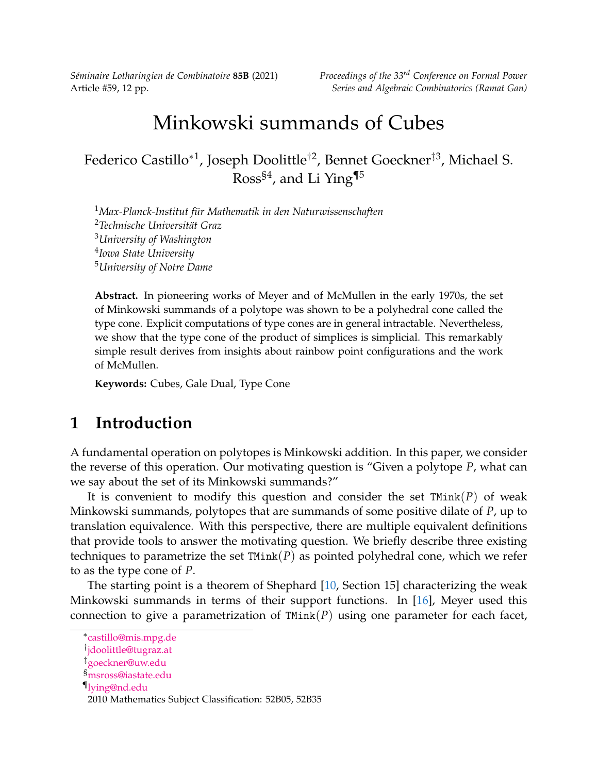*Séminaire Lotharingien de Combinatoire* **85B** (2021) *Proceedings of the 33rd Conference on Formal Power*

# Minkowski summands of Cubes

Federico Castillo\*<sup>1</sup>, Joseph Doolittle<sup>†2</sup>, Bennet Goeckner<sup>‡3</sup>, Michael S. Ross<sup>§4</sup>, and Li Ying<sup>[¶](#page-0-0)5</sup>

*Max-Planck-Institut für Mathematik in den Naturwissenschaften Technische Universität Graz University of Washington Iowa State University University of Notre Dame*

**Abstract.** In pioneering works of Meyer and of McMullen in the early 1970s, the set of Minkowski summands of a polytope was shown to be a polyhedral cone called the type cone. Explicit computations of type cones are in general intractable. Nevertheless, we show that the type cone of the product of simplices is simplicial. This remarkably simple result derives from insights about rainbow point configurations and the work of McMullen.

**Keywords:** Cubes, Gale Dual, Type Cone

# **1 Introduction**

A fundamental operation on polytopes is Minkowski addition. In this paper, we consider the reverse of this operation. Our motivating question is "Given a polytope *P*, what can we say about the set of its Minkowski summands?"

It is convenient to modify this question and consider the set TMink(*P*) of weak Minkowski summands, polytopes that are summands of some positive dilate of *P*, up to translation equivalence. With this perspective, there are multiple equivalent definitions that provide tools to answer the motivating question. We briefly describe three existing techniques to parametrize the set TMink(*P*) as pointed polyhedral cone, which we refer to as the type cone of *P*.

The starting point is a theorem of Shephard [\[10,](#page-11-0) Section 15] characterizing the weak Minkowski summands in terms of their support functions. In [\[16\]](#page-11-1), Meyer used this connection to give a parametrization of TMink(*P*) using one parameter for each facet,

<sup>∗</sup> [castillo@mis.mpg.de](mailto:castillo@mis.mpg.de)

<sup>†</sup> [jdoolittle@tugraz.at](mailto:jdoolittle@tugraz.at)

<sup>‡</sup>[goeckner@uw.edu](mailto:goeckner@uw.edu)

<sup>§</sup>[msross@iastate.edu](mailto:msross@iastate.edu)

<sup>¶</sup>[lying@nd.edu](mailto:lying@nd.edu)

<span id="page-0-0"></span><sup>2010</sup> Mathematics Subject Classification: 52B05, 52B35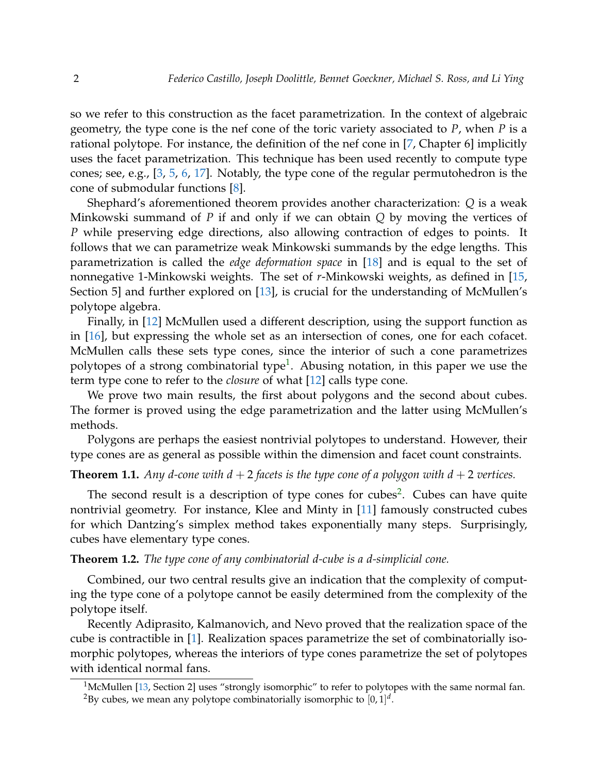so we refer to this construction as the facet parametrization. In the context of algebraic geometry, the type cone is the nef cone of the toric variety associated to *P*, when *P* is a rational polytope. For instance, the definition of the nef cone in [\[7,](#page-11-2) Chapter 6] implicitly uses the facet parametrization. This technique has been used recently to compute type cones; see, e.g., [\[3,](#page-10-0) [5,](#page-10-1) [6,](#page-10-2) [17\]](#page-11-3). Notably, the type cone of the regular permutohedron is the cone of submodular functions [\[8\]](#page-11-4).

Shephard's aforementioned theorem provides another characterization: *Q* is a weak Minkowski summand of *P* if and only if we can obtain *Q* by moving the vertices of *P* while preserving edge directions, also allowing contraction of edges to points. It follows that we can parametrize weak Minkowski summands by the edge lengths. This parametrization is called the *edge deformation space* in [\[18\]](#page-11-5) and is equal to the set of nonnegative 1-Minkowski weights. The set of *r*-Minkowski weights, as defined in [\[15,](#page-11-6) Section 5] and further explored on [\[13\]](#page-11-7), is crucial for the understanding of McMullen's polytope algebra.

Finally, in [\[12\]](#page-11-8) McMullen used a different description, using the support function as in [\[16\]](#page-11-1), but expressing the whole set as an intersection of cones, one for each cofacet. McMullen calls these sets type cones, since the interior of such a cone parametrizes polytopes of a strong combinatorial type<sup>[1](#page-1-0)</sup>. Abusing notation, in this paper we use the term type cone to refer to the *closure* of what [\[12\]](#page-11-8) calls type cone.

We prove two main results, the first about polygons and the second about cubes. The former is proved using the edge parametrization and the latter using McMullen's methods.

Polygons are perhaps the easiest nontrivial polytopes to understand. However, their type cones are as general as possible within the dimension and facet count constraints.

#### <span id="page-1-2"></span>**Theorem 1.1.** Any d-cone with  $d + 2$  facets is the type cone of a polygon with  $d + 2$  vertices.

The second result is a description of type cones for cubes<sup>[2](#page-1-1)</sup>. Cubes can have quite nontrivial geometry. For instance, Klee and Minty in [\[11\]](#page-11-9) famously constructed cubes for which Dantzing's simplex method takes exponentially many steps. Surprisingly, cubes have elementary type cones.

#### **Theorem 1.2.** *The type cone of any combinatorial d-cube is a d-simplicial cone.*

Combined, our two central results give an indication that the complexity of computing the type cone of a polytope cannot be easily determined from the complexity of the polytope itself.

Recently Adiprasito, Kalmanovich, and Nevo proved that the realization space of the cube is contractible in [\[1\]](#page-10-3). Realization spaces parametrize the set of combinatorially isomorphic polytopes, whereas the interiors of type cones parametrize the set of polytopes with identical normal fans.

<span id="page-1-1"></span><span id="page-1-0"></span><sup>&</sup>lt;sup>1</sup>McMullen [\[13,](#page-11-7) Section 2] uses "strongly isomorphic" to refer to polytopes with the same normal fan.  $^2$ By cubes, we mean any polytope combinatorially isomorphic to  $[0,1]^d$ .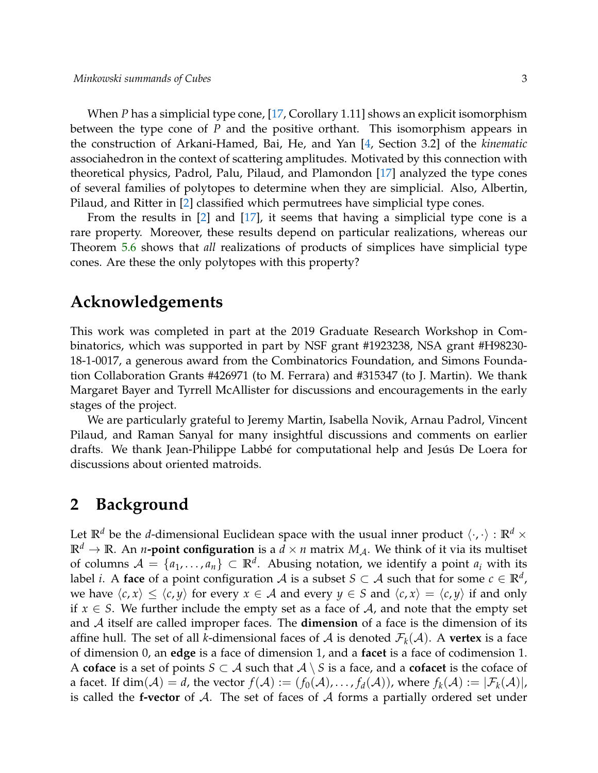When *P* has a simplicial type cone, [\[17,](#page-11-3) Corollary 1.11] shows an explicit isomorphism between the type cone of *P* and the positive orthant. This isomorphism appears in the construction of Arkani-Hamed, Bai, He, and Yan [\[4,](#page-10-4) Section 3.2] of the *kinematic* associahedron in the context of scattering amplitudes. Motivated by this connection with theoretical physics, Padrol, Palu, Pilaud, and Plamondon [\[17\]](#page-11-3) analyzed the type cones of several families of polytopes to determine when they are simplicial. Also, Albertin, Pilaud, and Ritter in [\[2\]](#page-10-5) classified which permutrees have simplicial type cones.

From the results in [\[2\]](#page-10-5) and [\[17\]](#page-11-3), it seems that having a simplicial type cone is a rare property. Moreover, these results depend on particular realizations, whereas our Theorem [5.6](#page-10-6) shows that *all* realizations of products of simplices have simplicial type cones. Are these the only polytopes with this property?

### **Acknowledgements**

This work was completed in part at the 2019 Graduate Research Workshop in Combinatorics, which was supported in part by NSF grant #1923238, NSA grant #H98230- 18-1-0017, a generous award from the Combinatorics Foundation, and Simons Foundation Collaboration Grants #426971 (to M. Ferrara) and #315347 (to J. Martin). We thank Margaret Bayer and Tyrrell McAllister for discussions and encouragements in the early stages of the project.

We are particularly grateful to Jeremy Martin, Isabella Novik, Arnau Padrol, Vincent Pilaud, and Raman Sanyal for many insightful discussions and comments on earlier drafts. We thank Jean-Philippe Labbé for computational help and Jesús De Loera for discussions about oriented matroids.

## **2 Background**

Let  $\mathbb{R}^d$  be the *d*-dimensional Euclidean space with the usual inner product  $\langle \cdot, \cdot \rangle : \mathbb{R}^d \times$  $\mathbb{R}^d \to \mathbb{R}$ . An *n***-point configuration** is a  $d \times n$  matrix  $M_A$ . We think of it via its multiset of columns  $\mathcal{A} = \{a_1, \ldots, a_n\} \subset \mathbb{R}^d$ . Abusing notation, we identify a point  $a_i$  with its label *i*. A **face** of a point configuration  $\mathcal A$  is a subset  $S \subset \mathcal A$  such that for some  $c \in \mathbb R^d$  , we have  $\langle c, x \rangle \leq \langle c, y \rangle$  for every  $x \in A$  and every  $y \in S$  and  $\langle c, x \rangle = \langle c, y \rangle$  if and only if  $x \in S$ . We further include the empty set as a face of A, and note that the empty set and A itself are called improper faces. The **dimension** of a face is the dimension of its affine hull. The set of all *k*-dimensional faces of A is denoted  $\mathcal{F}_k(\mathcal{A})$ . A **vertex** is a face of dimension 0, an **edge** is a face of dimension 1, and a **facet** is a face of codimension 1. A **coface** is a set of points  $S \subset A$  such that  $A \setminus S$  is a face, and a **cofacet** is the coface of a facet. If  $dim(\mathcal{A}) = d$ , the vector  $f(\mathcal{A}) := (f_0(\mathcal{A}), \ldots, f_d(\mathcal{A}))$ , where  $f_k(\mathcal{A}) := |\mathcal{F}_k(\mathcal{A})|$ , is called the **f-vector** of  $A$ . The set of faces of  $A$  forms a partially ordered set under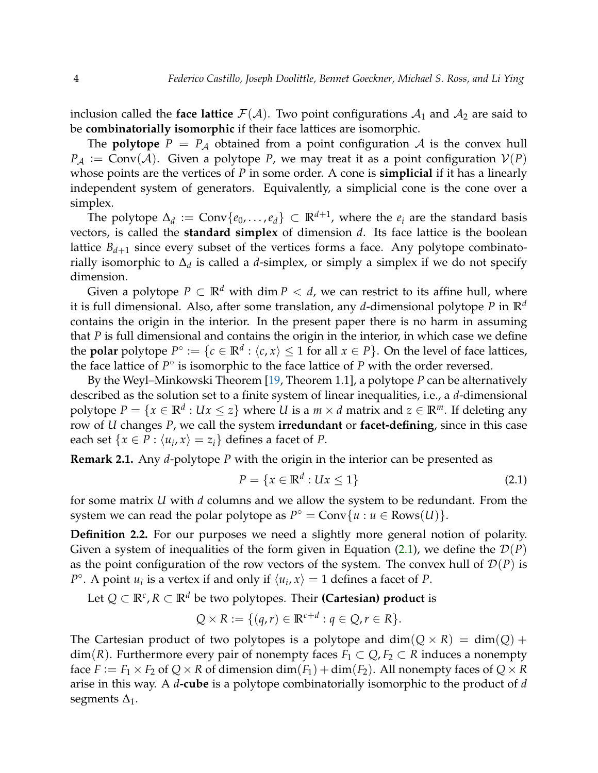inclusion called the **face lattice**  $\mathcal{F}(\mathcal{A})$ . Two point configurations  $\mathcal{A}_1$  and  $\mathcal{A}_2$  are said to be **combinatorially isomorphic** if their face lattices are isomorphic.

The **polytope**  $P = P_A$  obtained from a point configuration A is the convex hull  $P_A := Conv(A)$ . Given a polytope *P*, we may treat it as a point configuration  $V(P)$ whose points are the vertices of *P* in some order. A cone is **simplicial** if it has a linearly independent system of generators. Equivalently, a simplicial cone is the cone over a simplex.

The polytope  $\Delta_d := \text{Conv}\{e_0, \ldots, e_d\} \subset \mathbb{R}^{d+1}$ , where the  $e_i$  are the standard basis vectors, is called the **standard simplex** of dimension *d*. Its face lattice is the boolean lattice  $B_{d+1}$  since every subset of the vertices forms a face. Any polytope combinatorially isomorphic to ∆*<sup>d</sup>* is called a *d*-simplex, or simply a simplex if we do not specify dimension.

Given a polytope  $P \subset \mathbb{R}^d$  with dim  $P \lt d$ , we can restrict to its affine hull, where it is full dimensional. Also, after some translation, any *d*-dimensional polytope *P* in **R***<sup>d</sup>* contains the origin in the interior. In the present paper there is no harm in assuming that *P* is full dimensional and contains the origin in the interior, in which case we define the **polar** polytope  $P^{\circ} := \{c \in \mathbb{R}^d : \langle c, x \rangle \leq 1 \text{ for all } x \in P\}$ . On the level of face lattices, the face lattice of  $P^{\circ}$  is isomorphic to the face lattice of  $P$  with the order reversed.

By the Weyl–Minkowski Theorem [\[19,](#page-11-10) Theorem 1.1], a polytope *P* can be alternatively described as the solution set to a finite system of linear inequalities, i.e., a *d*-dimensional polytope  $P = \{x \in \mathbb{R}^d : Ux \leq z\}$  where *U* is a  $m \times d$  matrix and  $z \in \mathbb{R}^m$ . If deleting any row of *U* changes *P*, we call the system **irredundant** or **facet-defining**, since in this case each set  $\{x \in P : \langle u_i, x \rangle = z_i\}$  defines a facet of *P*.

**Remark 2.1.** Any *d*-polytope *P* with the origin in the interior can be presented as

<span id="page-3-0"></span>
$$
P = \{x \in \mathbb{R}^d : Ux \le 1\}
$$
\n<sup>(2.1)</sup>

for some matrix *U* with *d* columns and we allow the system to be redundant. From the system we can read the polar polytope as  $P^{\circ} = \text{Conv}\{u : u \in \text{Rows}(U)\}.$ 

**Definition 2.2.** For our purposes we need a slightly more general notion of polarity. Given a system of inequalities of the form given in Equation [\(2.1\)](#page-3-0), we define the  $\mathcal{D}(P)$ as the point configuration of the row vectors of the system. The convex hull of  $\mathcal{D}(P)$  is *P*<sup>°</sup>. A point *u<sub>i</sub>* is a vertex if and only if  $\langle u_i, x \rangle = 1$  defines a facet of *P*.

Let  $Q ⊂ ℝ<sup>c</sup>, R ⊂ ℝ<sup>d</sup>$  be two polytopes. Their **(Cartesian) product** is

$$
Q \times R := \{ (q, r) \in \mathbb{R}^{c+d} : q \in Q, r \in R \}.
$$

The Cartesian product of two polytopes is a polytope and  $dim(Q \times R) = dim(Q) +$  $dim(R)$ . Furthermore every pair of nonempty faces  $F_1 \subset Q$ ,  $F_2 \subset R$  induces a nonempty face  $F := F_1 \times F_2$  of  $Q \times R$  of dimension  $\dim(F_1) + \dim(F_2)$ . All nonempty faces of  $Q \times R$ arise in this way. A *d***-cube** is a polytope combinatorially isomorphic to the product of *d* segments  $\Delta_1$ .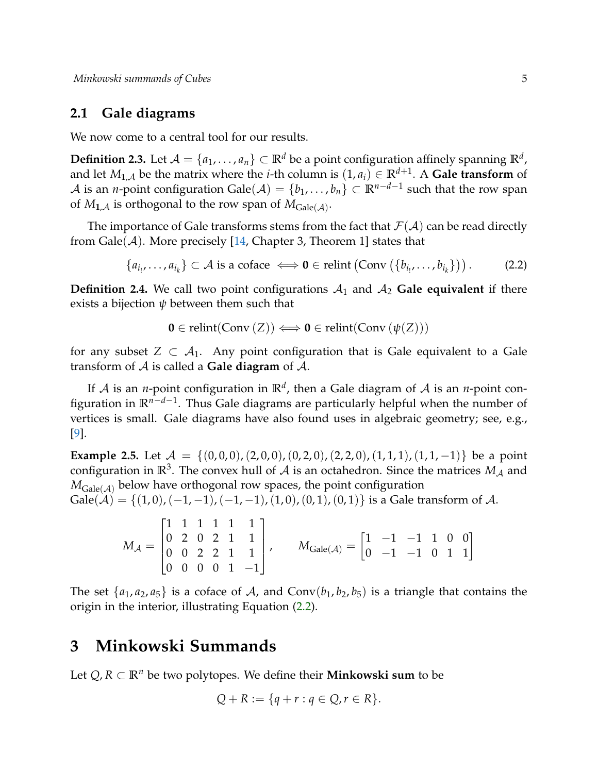### **2.1 Gale diagrams**

We now come to a central tool for our results.

 $\bf{Definition 2.3.}$  Let  $\mathcal{A} = \{a_1, \ldots, a_n\} \subset \mathbb{R}^d$  be a point configuration affinely spanning  $\mathbb{R}^d$ , and let  $M_{1,\mathcal{A}}$  be the matrix where the *i*-th column is  $(1,a_i)\in \mathbb{R}^{d+1}$ . A Gale transform of  $\mathcal A$  is an *n*-point configuration Gale $(\mathcal A)=\{b_1,\ldots,b_n\}\subset \mathbb R^{n-d-1}$  such that the row span of  $M_{\mathbf{1}_{\mathcal{A}}}$  is orthogonal to the row span of  $M_{\mathsf{Gale}(\mathcal{A})}.$ 

The importance of Gale transforms stems from the fact that  $\mathcal{F}(\mathcal{A})$  can be read directly from  $\text{Gale}(\mathcal{A})$ . More precisely [\[14,](#page-11-11) Chapter 3, Theorem 1] states that

$$
\{a_{i_1},\ldots,a_{i_k}\}\subset \mathcal{A} \text{ is a coface } \Longleftrightarrow \mathbf{0} \in \text{relint}\left(\text{Conv}\left(\{b_{i_1},\ldots,b_{i_k}\}\right)\right). \tag{2.2}
$$

**Definition 2.4.** We call two point configurations  $A_1$  and  $A_2$  Gale equivalent if there exists a bijection  $\psi$  between them such that

<span id="page-4-0"></span>
$$
\mathbf{0} \in \text{relint}(\text{Conv}(Z)) \Longleftrightarrow \mathbf{0} \in \text{relint}(\text{Conv}(\psi(Z)))
$$

for any subset  $Z \subset A_1$ . Any point configuration that is Gale equivalent to a Gale transform of A is called a **Gale diagram** of A.

If  $A$  is an *n*-point configuration in  $\mathbb{R}^d$ , then a Gale diagram of  $A$  is an *n*-point configuration in **R***n*−*d*−<sup>1</sup> . Thus Gale diagrams are particularly helpful when the number of vertices is small. Gale diagrams have also found uses in algebraic geometry; see, e.g., [\[9\]](#page-11-12).

<span id="page-4-1"></span>**Example 2.5.** Let  $A = \{(0,0,0), (2,0,0), (0,2,0), (2,2,0), (1,1,1), (1,1,-1)\}$  be a point configuration in  $\mathbb{R}^3$ . The convex hull of  $\mathcal A$  is an octahedron. Since the matrices  $M_\mathcal A$  and  $M_{\text{Gale}(\mathcal{A})}$  below have orthogonal row spaces, the point configuration  $Gale(\mathcal{A}) = \{(1,0),(-1,-1),(-1,-1),(1,0),(0,1),(0,1)\}\)$  is a Gale transform of  $\mathcal{A}$ .

 $M_\mathcal{A} =$  $\sqrt{ }$  $\Bigg\}$ 1 1 1 1 1 1 0 2 0 2 1 1 0 0 2 2 1 1 0 0 0 0 1 −1 1  $\begin{array}{c} \hline \end{array}$  $M_{\rm{Gale}(\mathcal{A})} = \begin{bmatrix} 1 & -1 & -1 & 1 & 0 & 0 \ 0 & -1 & -1 & 0 & 1 & 1 \end{bmatrix}$ 

The set  $\{a_1, a_2, a_5\}$  is a coface of A, and Conv $(b_1, b_2, b_5)$  is a triangle that contains the origin in the interior, illustrating Equation [\(2.2\)](#page-4-0).

### **3 Minkowski Summands**

Let  $Q, R ⊂ \mathbb{R}^n$  be two polytopes. We define their **Minkowski sum** to be

$$
Q + R := \{q + r : q \in Q, r \in R\}.
$$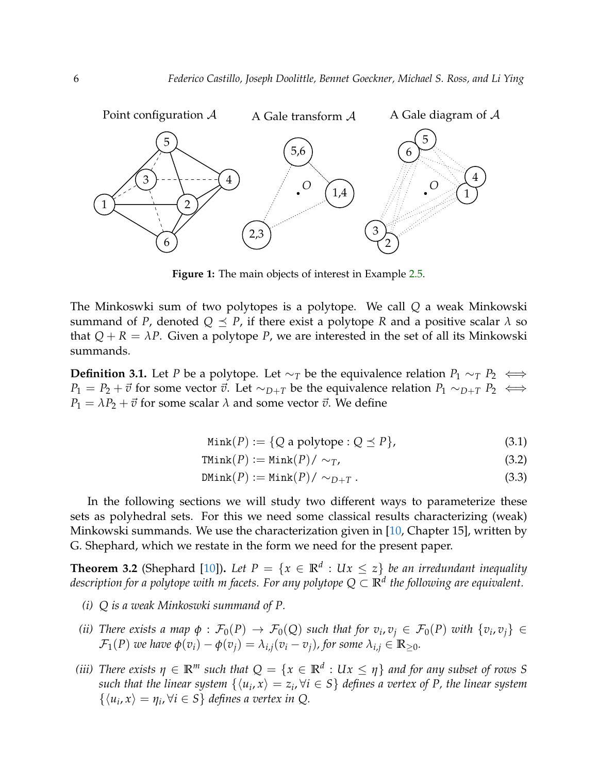

**Figure 1:** The main objects of interest in Example [2.5.](#page-4-1)

The Minkoswki sum of two polytopes is a polytope. We call *Q* a weak Minkowski summand of *P*, denoted  $Q \leq P$ , if there exist a polytope *R* and a positive scalar  $\lambda$  so that  $Q + R = \lambda P$ . Given a polytope *P*, we are interested in the set of all its Minkowski summands.

**Definition 3.1.** Let *P* be a polytope. Let  $\sim_T$  be the equivalence relation  $P_1 \sim_T P_2$  ⇔ *P*<sub>1</sub> = *P*<sub>2</sub> +  $\vec{v}$  for some vector  $\vec{v}$ . Let ∼*D*+*T* be the equivalence relation *P*<sub>1</sub> ∼*D*+*T P*<sub>2</sub> ⇔  $P_1 = \lambda P_2 + \vec{v}$  for some scalar  $\lambda$  and some vector  $\vec{v}$ . We define

$$
Mink(P) := \{Q \text{ a polytope} : Q \preceq P\},\tag{3.1}
$$

$$
\texttt{TMink}(P) := \texttt{Mink}(P) / \sim_T, \tag{3.2}
$$

$$
DMink(P) := Mink(P) / \sim_{D+T}.
$$
\n(3.3)

In the following sections we will study two different ways to parameterize these sets as polyhedral sets. For this we need some classical results characterizing (weak) Minkowski summands. We use the characterization given in [\[10,](#page-11-0) Chapter 15], written by G. Shephard, which we restate in the form we need for the present paper.

<span id="page-5-0"></span>**Theorem 3.2** (Shephard [\[10\]](#page-11-0)). Let  $P = \{x \in \mathbb{R}^d : Ux \leq z\}$  be an irredundant inequality *description for a polytope with m facets. For any polytope Q* ⊂ **R***<sup>d</sup> the following are equivalent.*

- *(i) Q is a weak Minkoswki summand of P.*
- *(ii) There exists a map*  $\phi$  :  $\mathcal{F}_0(P) \to \mathcal{F}_0(Q)$  such that for  $v_i, v_j \in \mathcal{F}_0(P)$  with  $\{v_i, v_j\} \in$  $\mathcal{F}_1(P)$  *we have*  $\phi(v_i) - \phi(v_i) = \lambda_{i,i}(v_i - v_i)$ *, for some*  $\lambda_{i,i} \in \mathbb{R}_{\geq 0}$ *.*
- *(iii) There exists*  $\eta \in \mathbb{R}^m$  *such that*  $Q = \{x \in \mathbb{R}^d : Ux \leq \eta\}$  *and for any subset of rows* S  $such$  that the linear system  $\{\langle u_i, x\rangle = z_i, \forall i \in S\}$  defines a vertex of P, the linear system  $\{\langle u_i, x \rangle = \eta_i, \forall i \in S\}$  *defines a vertex in Q.*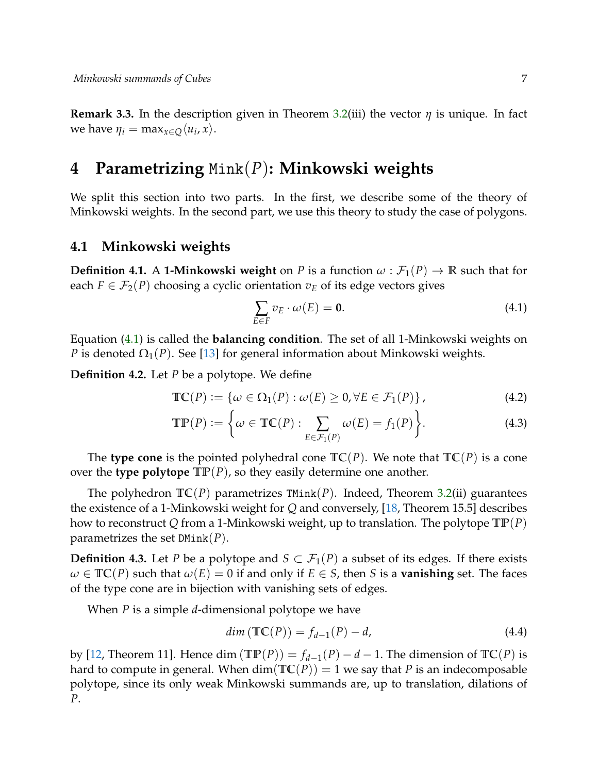**Remark 3.3.** In the description given in Theorem [3.2\(](#page-5-0)iii) the vector *η* is unique. In fact we have  $\eta_i = \max_{x \in Q} \langle u_i, x \rangle$ .

### **4 Parametrizing** Mink(*P*)**: Minkowski weights**

We split this section into two parts. In the first, we describe some of the theory of Minkowski weights. In the second part, we use this theory to study the case of polygons.

#### **4.1 Minkowski weights**

**Definition 4.1.** A **1-Minkowski weight** on *P* is a function  $\omega : \mathcal{F}_1(P) \to \mathbb{R}$  such that for each  $F \in \mathcal{F}_2(P)$  choosing a cyclic orientation  $v_E$  of its edge vectors gives

<span id="page-6-1"></span><span id="page-6-0"></span>
$$
\sum_{E \in F} v_E \cdot \omega(E) = \mathbf{0}.\tag{4.1}
$$

Equation [\(4.1\)](#page-6-0) is called the **balancing condition**. The set of all 1-Minkowski weights on *P* is denoted  $\Omega_1(P)$ . See [\[13\]](#page-11-7) for general information about Minkowski weights.

**Definition 4.2.** Let *P* be a polytope. We define

$$
\mathbb{TC}(P) := \{ \omega \in \Omega_1(P) : \omega(E) \ge 0, \forall E \in \mathcal{F}_1(P) \},\tag{4.2}
$$

$$
\mathbb{TP}(P) := \left\{ \omega \in \mathbb{TC}(P) : \sum_{E \in \mathcal{F}_1(P)} \omega(E) = f_1(P) \right\}.
$$
 (4.3)

The **type cone** is the pointed polyhedral cone  $TC(P)$ . We note that  $TC(P)$  is a cone over the **type polytope**  $\mathbb{TP}(P)$ , so they easily determine one another.

The polyhedron **TC**(*P*) parametrizes TMink(*P*). Indeed, Theorem [3.2\(](#page-5-0)ii) guarantees the existence of a 1-Minkowski weight for *Q* and conversely, [\[18,](#page-11-5) Theorem 15.5] describes how to reconstruct *Q* from a 1-Minkowski weight, up to translation. The polytope **TP**(*P*) parametrizes the set DMink(*P*).

**Definition 4.3.** Let *P* be a polytope and  $S \subset \mathcal{F}_1(P)$  a subset of its edges. If there exists  $\omega \in \mathbb{TC}(P)$  such that  $\omega(E) = 0$  if and only if  $E \in S$ , then *S* is a **vanishing** set. The faces of the type cone are in bijection with vanishing sets of edges.

When *P* is a simple *d*-dimensional polytope we have

$$
dim\left(\mathbb{TC}(P)\right) = f_{d-1}(P) - d,\tag{4.4}
$$

by [\[12,](#page-11-8) Theorem 11]. Hence dim ( $\mathbb{TP}(P)$ ) =  $f_{d-1}(P) - d - 1$ . The dimension of  $\mathbb{TC}(P)$  is hard to compute in general. When  $dim(TC(P)) = 1$  we say that *P* is an indecomposable polytope, since its only weak Minkowski summands are, up to translation, dilations of *P*.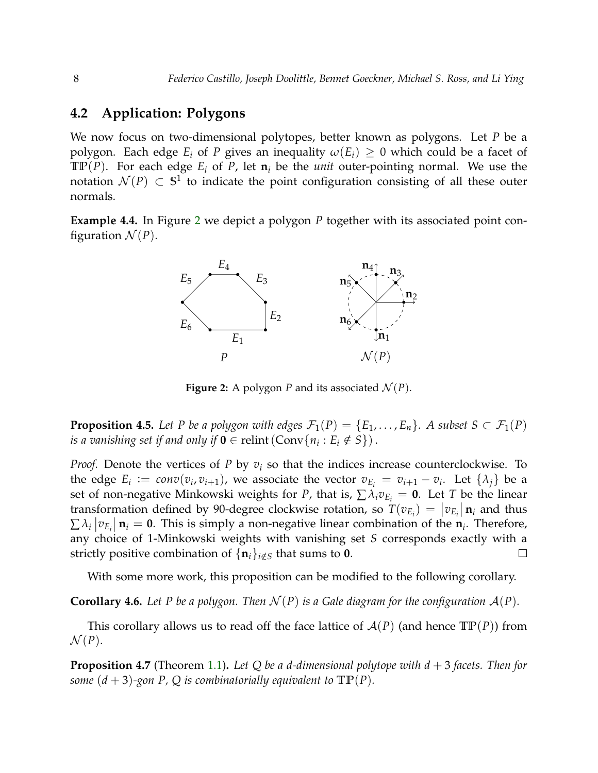### **4.2 Application: Polygons**

We now focus on two-dimensional polytopes, better known as polygons. Let *P* be a polygon. Each edge  $E_i$  of *P* gives an inequality  $\omega(E_i) \geq 0$  which could be a facet of **TP**(*P*). For each edge  $E_i$  of *P*, let  $\mathbf{n}_i$  be the *unit* outer-pointing normal. We use the notation  $\mathcal{N}(P) \, \subset \, \mathbb{S}^1$  to indicate the point configuration consisting of all these outer normals.

<span id="page-7-0"></span>**Example 4.4.** In Figure [2](#page-7-0) we depict a polygon *P* together with its associated point configuration  $\mathcal{N}(P)$ .



**Figure 2:** A polygon *P* and its associated  $\mathcal{N}(P)$ .

**Proposition 4.5.** *Let P be a polygon with edges*  $\mathcal{F}_1(P) = \{E_1, \ldots, E_n\}$ *. A subset*  $S \subset \mathcal{F}_1(P)$ *is a vanishing set if and only if*  $\mathbf{0} \in \text{relint}(\text{Conv}\{n_i : E_i \notin S\})$ .

*Proof.* Denote the vertices of *P* by *v<sup>i</sup>* so that the indices increase counterclockwise. To the edge  $E_i := conv(v_i, v_{i+1})$ , we associate the vector  $v_{E_i} = v_{i+1} - v_i$ . Let  $\{\lambda_j\}$  be a set of non-negative Minkowski weights for *P*, that is,  $\sum \lambda_i v_{E_i} = 0$ . Let *T* be the linear transformation defined by 90-degree clockwise rotation, so  $T(v_{E_i}) = |v_{E_i}| \mathbf{n}_i$  and thus  $\sum \lambda_i |v_{E_i}| \mathbf{n}_i = \mathbf{0}$ . This is simply a non-negative linear combination of the  $\mathbf{n}_i$ . Therefore, any choice of 1-Minkowski weights with vanishing set *S* corresponds exactly with a strictly positive combination of  $\{\mathbf{n}_i\}_{i \notin S}$  that sums to **0**.  $\Box$ 

With some more work, this proposition can be modified to the following corollary.

**Corollary 4.6.** Let P be a polygon. Then  $\mathcal{N}(P)$  is a Gale diagram for the configuration  $\mathcal{A}(P)$ .

This corollary allows us to read off the face lattice of  $\mathcal{A}(P)$  (and hence  $\mathbb{TP}(P)$ ) from  $\mathcal{N}(P)$ .

<span id="page-7-1"></span>**Proposition 4.7** (Theorem [1.1\)](#page-1-2)**.** *Let Q be a d-dimensional polytope with d* + 3 *facets. Then for some*  $(d+3)$ *-gon P*, *Q is combinatorially equivalent to*  $\text{TP}(P)$ *.*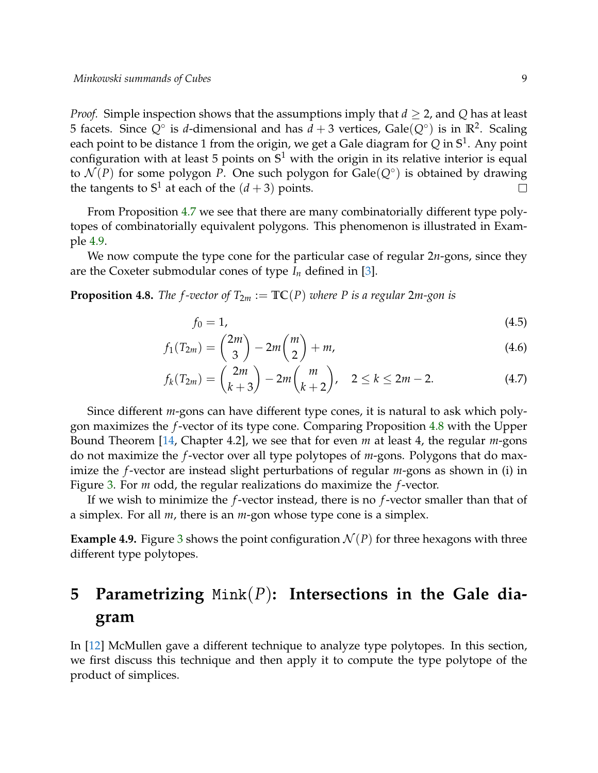*Proof.* Simple inspection shows that the assumptions imply that  $d \geq 2$ , and Q has at least 5 facets. Since  $Q^{\circ}$  is *d*-dimensional and has  $d + 3$  vertices,  $\text{Gale}(Q^{\circ})$  is in  $\mathbb{R}^2$ . Scaling each point to be distance 1 from the origin, we get a Gale diagram for *Q* in **S** 1 . Any point configuration with at least 5 points on **S** <sup>1</sup> with the origin in its relative interior is equal to  $\mathcal{N}(P)$  for some polygon P. One such polygon for  $\text{Gale}(Q^{\circ})$  is obtained by drawing the tangents to  $S^1$  at each of the  $(d+3)$  points.  $\Box$ 

From Proposition [4.7](#page-7-1) we see that there are many combinatorially different type polytopes of combinatorially equivalent polygons. This phenomenon is illustrated in Example [4.9.](#page-8-0)

We now compute the type cone for the particular case of regular 2*n*-gons, since they are the Coxeter submodular cones of type  $I_n$  defined in [\[3\]](#page-10-0).

<span id="page-8-1"></span>**Proposition 4.8.** *The f-vector of*  $T_{2m} := \mathbb{TC}(P)$  *where* P *is a regular* 2*m-gon is* 

$$
f_0 = 1,\tag{4.5}
$$

$$
f_1(T_{2m}) = {2m \choose 3} - 2m {m \choose 2} + m,
$$
\n(4.6)

$$
f_k(T_{2m}) = {2m \choose k+3} - 2m {m \choose k+2}, \quad 2 \le k \le 2m-2. \tag{4.7}
$$

Since different *m*-gons can have different type cones, it is natural to ask which polygon maximizes the *f*-vector of its type cone. Comparing Proposition [4.8](#page-8-1) with the Upper Bound Theorem [\[14,](#page-11-11) Chapter 4.2], we see that for even *m* at least 4, the regular *m*-gons do not maximize the *f*-vector over all type polytopes of *m*-gons. Polygons that do maximize the *f*-vector are instead slight perturbations of regular *m*-gons as shown in (i) in Figure [3.](#page-9-0) For *m* odd, the regular realizations do maximize the *f*-vector.

If we wish to minimize the *f*-vector instead, there is no *f*-vector smaller than that of a simplex. For all *m*, there is an *m*-gon whose type cone is a simplex.

<span id="page-8-0"></span>**Example 4.9.** Figure [3](#page-9-0) shows the point configuration  $\mathcal{N}(P)$  for three hexagons with three different type polytopes.

# **5 Parametrizing** Mink(*P*)**: Intersections in the Gale diagram**

<span id="page-8-2"></span>In [\[12\]](#page-11-8) McMullen gave a different technique to analyze type polytopes. In this section, we first discuss this technique and then apply it to compute the type polytope of the product of simplices.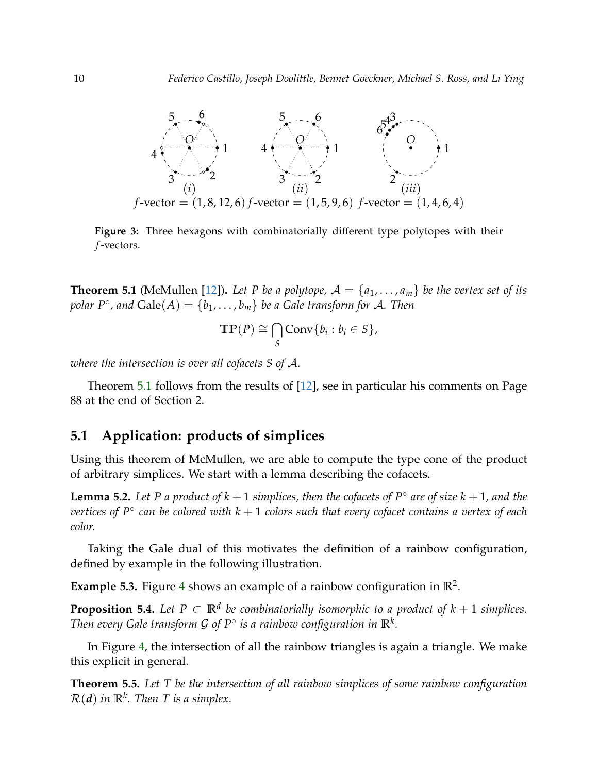<span id="page-9-0"></span>

**Figure 3:** Three hexagons with combinatorially different type polytopes with their *f*-vectors.

**Theorem 5.1** (McMullen [\[12\]](#page-11-8)). Let P be a polytope,  $A = \{a_1, \ldots, a_m\}$  be the vertex set of its  $p$ <sup>o</sup>, and  $\text{Gale}(A) = \{b_1, \ldots, b_m\}$  *be a Gale transform for A. Then* 

$$
\mathrm{TP}(P) \cong \bigcap_{S} \mathrm{Conv}\{b_i : b_i \in S\},\
$$

*where the intersection is over all cofacets S of* A*.*

Theorem [5.1](#page-8-2) follows from the results of [\[12\]](#page-11-8), see in particular his comments on Page 88 at the end of Section 2.

### **5.1 Application: products of simplices**

Using this theorem of McMullen, we are able to compute the type cone of the product of arbitrary simplices. We start with a lemma describing the cofacets.

**Lemma 5.2.** Let P a product of  $k + 1$  simplices, then the cofacets of  $P^\circ$  are of size  $k + 1$ , and the *vertices of P*◦ *can be colored with k* + 1 *colors such that every cofacet contains a vertex of each color.*

Taking the Gale dual of this motivates the definition of a rainbow configuration, defined by example in the following illustration.

**Example 5.3.** Figure [4](#page-10-7) shows an example of a rainbow configuration in  $\mathbb{R}^2$ .

<span id="page-9-1"></span>**Proposition 5.4.** Let  $P \subset \mathbb{R}^d$  be combinatorially isomorphic to a product of  $k+1$  simplices. *Then every Gale transform G of*  $P^{\circ}$  *is a rainbow configuration in*  $\mathbb{R}^{k}$ *.* 

In Figure [4,](#page-10-7) the intersection of all the rainbow triangles is again a triangle. We make this explicit in general.

<span id="page-9-2"></span>**Theorem 5.5.** *Let T be the intersection of all rainbow simplices of some rainbow configuration*  $\mathcal{R}(\boldsymbol{d})$  in  $\mathbb{R}^k$ . Then T is a simplex.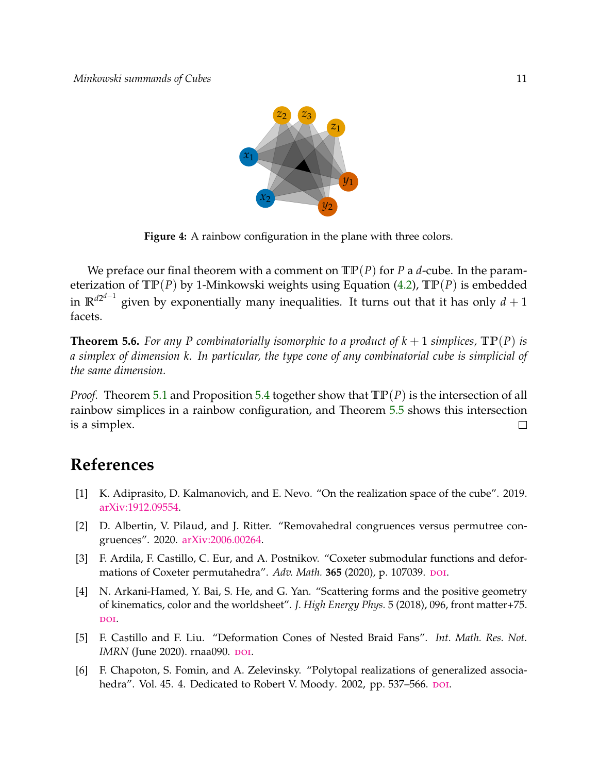

<span id="page-10-7"></span>**Figure 4:** A rainbow configuration in the plane with three colors.

We preface our final theorem with a comment on  $\mathbb{TP}(P)$  for *P* a *d*-cube. In the parameterization of **TP**(*P*) by 1-Minkowski weights using Equation [\(4.2\)](#page-6-1), **TP**(*P*) is embedded in  $\mathbb{R}^{d2^{d-1}}$  given by exponentially many inequalities. It turns out that it has only  $d+1$ facets.

<span id="page-10-6"></span>**Theorem 5.6.** For any P combinatorially isomorphic to a product of  $k + 1$  simplices,  $\mathbb{TP}(P)$  is *a simplex of dimension k. In particular, the type cone of any combinatorial cube is simplicial of the same dimension.*

*Proof.* Theorem [5.1](#page-8-2) and Proposition [5.4](#page-9-1) together show that **TP**(*P*) is the intersection of all rainbow simplices in a rainbow configuration, and Theorem [5.5](#page-9-2) shows this intersection is a simplex.  $\Box$ 

## **References**

- <span id="page-10-3"></span>[1] K. Adiprasito, D. Kalmanovich, and E. Nevo. "On the realization space of the cube". 2019. [arXiv:1912.09554.](https://arxiv.org/abs/1912.09554)
- <span id="page-10-5"></span>[2] D. Albertin, V. Pilaud, and J. Ritter. "Removahedral congruences versus permutree congruences". 2020. [arXiv:2006.00264.](https://arxiv.org/abs/2006.00264)
- <span id="page-10-0"></span>[3] F. Ardila, F. Castillo, C. Eur, and A. Postnikov. "Coxeter submodular functions and deformations of Coxeter permutahedra". Adv. Math. 365 (2020), p. 107039. DOI.
- <span id="page-10-4"></span>[4] N. Arkani-Hamed, Y. Bai, S. He, and G. Yan. "Scattering forms and the positive geometry of kinematics, color and the worldsheet". *J. High Energy Phys.* 5 (2018), 096, front matter+75. DOI.
- <span id="page-10-1"></span>[5] F. Castillo and F. Liu. "Deformation Cones of Nested Braid Fans". *Int. Math. Res. Not. IMRN* (June 2020). rnaa090. pol.
- <span id="page-10-2"></span>[6] F. Chapoton, S. Fomin, and A. Zelevinsky. "Polytopal realizations of generalized associahedra". Vol. 45. 4. Dedicated to Robert V. Moody. 2002, pp. 537-566. DOI.